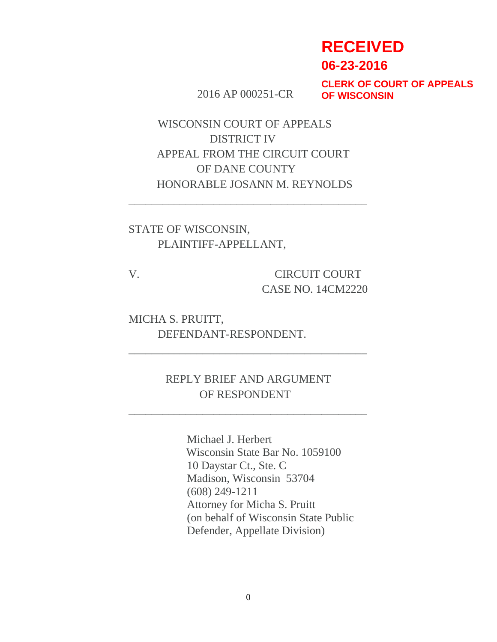# **RECEIVED**

**06-23-2016**

2016 AP 000251-CR

**CLERK OF COURT OF APPEALS OF WISCONSIN**

WISCONSIN COURT OF APPEALS DISTRICT IV APPEAL FROM THE CIRCUIT COURT OF DANE COUNTY HONORABLE JOSANN M. REYNOLDS

\_\_\_\_\_\_\_\_\_\_\_\_\_\_\_\_\_\_\_\_\_\_\_\_\_\_\_\_\_\_\_\_\_\_\_\_\_\_\_\_\_\_

STATE OF WISCONSIN, PLAINTIFF-APPELLANT,

V. CIRCUIT COURT CASE NO. 14CM2220

MICHA S. PRUITT, DEFENDANT-RESPONDENT.

> REPLY BRIEF AND ARGUMENT OF RESPONDENT

\_\_\_\_\_\_\_\_\_\_\_\_\_\_\_\_\_\_\_\_\_\_\_\_\_\_\_\_\_\_\_\_\_\_\_\_\_\_\_\_\_\_

\_\_\_\_\_\_\_\_\_\_\_\_\_\_\_\_\_\_\_\_\_\_\_\_\_\_\_\_\_\_\_\_\_\_\_\_\_\_\_\_\_\_

Michael J. Herbert Wisconsin State Bar No. 1059100 10 Daystar Ct., Ste. C Madison, Wisconsin 53704 (608) 249-1211 Attorney for Micha S. Pruitt (on behalf of Wisconsin State Public Defender, Appellate Division)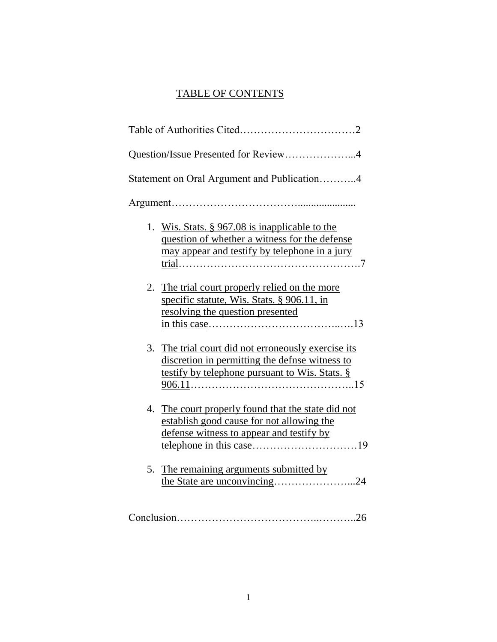# TABLE OF CONTENTS

|    | Question/Issue Presented for Review4                                                                                                                 |
|----|------------------------------------------------------------------------------------------------------------------------------------------------------|
|    | Statement on Oral Argument and Publication4                                                                                                          |
|    |                                                                                                                                                      |
|    | 1. Wis. Stats. § 967.08 is inapplicable to the<br>question of whether a witness for the defense<br>may appear and testify by telephone in a jury     |
|    | 2. The trial court properly relied on the more<br>specific statute, Wis. Stats. § 906.11, in<br>resolving the question presented                     |
| 3. | The trial court did not erroneously exercise its<br>discretion in permitting the defnse witness to<br>testify by telephone pursuant to Wis. Stats. § |
|    | 4. The court properly found that the state did not<br>establish good cause for not allowing the<br>defense witness to appear and testify by          |
| 5. | The remaining arguments submitted by<br>the State are unconvincing24                                                                                 |
|    |                                                                                                                                                      |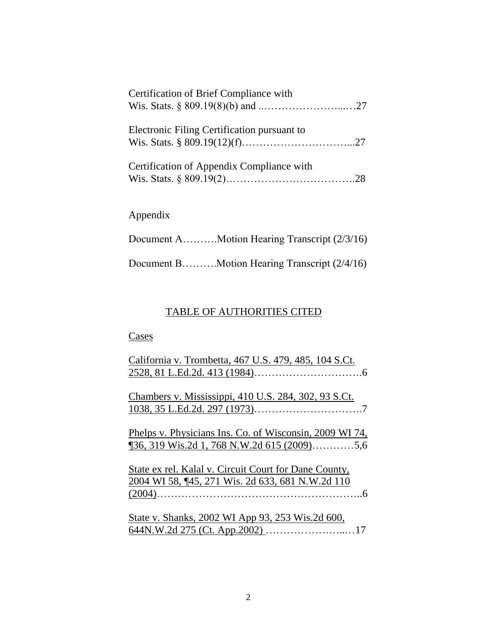| Certification of Brief Compliance with      |
|---------------------------------------------|
| Electronic Filing Certification pursuant to |
| Certification of Appendix Compliance with   |
| Appendix                                    |

Document B……….Motion Hearing Transcript (2/4/16)

# TABLE OF AUTHORITIES CITED

# **Cases**

| California v. Trombetta, 467 U.S. 479, 485, 104 S.Ct.          |
|----------------------------------------------------------------|
|                                                                |
|                                                                |
| Chambers v. Mississippi, 410 U.S. 284, 302, 93 S.Ct.           |
|                                                                |
|                                                                |
| <u>Phelps v. Physicians Ins. Co. of Wisconsin, 2009 WI 74,</u> |
| $\frac{136}{319}$ Wis.2d 1, 768 N.W.2d 615 (2009)5,6           |
|                                                                |
| State ex rel. Kalal v. Circuit Court for Dane County,          |
| 2004 WI 58, ¶45, 271 Wis. 2d 633, 681 N.W.2d 110               |
|                                                                |
|                                                                |
| State v. Shanks, 2002 WI App 93, 253 Wis.2d 600,               |
|                                                                |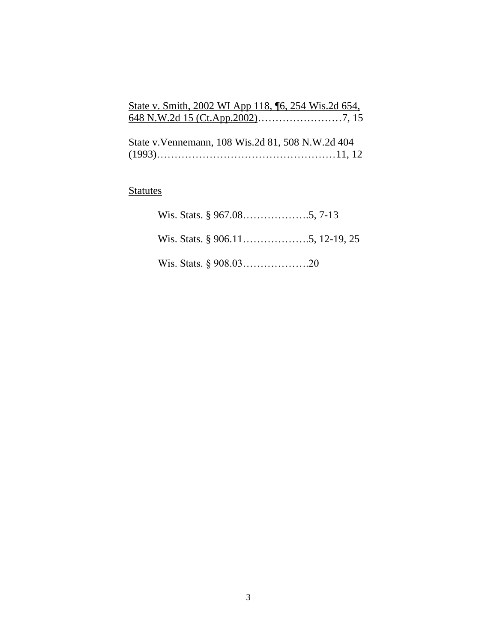| State v. Smith, 2002 WI App 118, 16, 254 Wis.2d 654, |  |
|------------------------------------------------------|--|
|                                                      |  |

| State v. Vennemann, 108 Wis. 2d 81, 508 N.W. 2d 404 |  |
|-----------------------------------------------------|--|
|                                                     |  |

# **Statutes**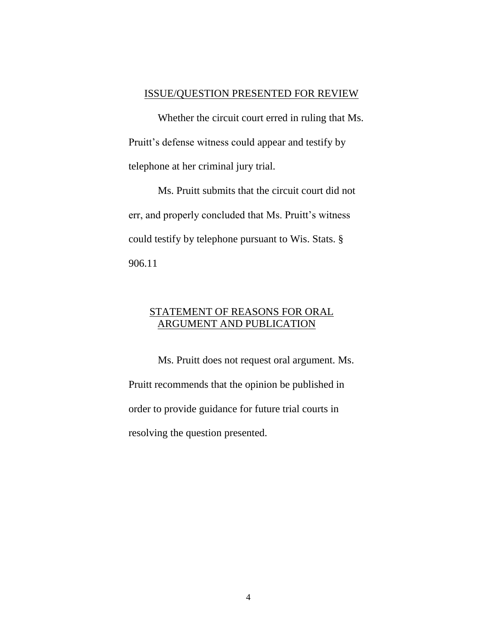#### ISSUE/QUESTION PRESENTED FOR REVIEW

Whether the circuit court erred in ruling that Ms. Pruitt's defense witness could appear and testify by telephone at her criminal jury trial.

Ms. Pruitt submits that the circuit court did not err, and properly concluded that Ms. Pruitt's witness could testify by telephone pursuant to Wis. Stats. § 906.11

## STATEMENT OF REASONS FOR ORAL ARGUMENT AND PUBLICATION

Ms. Pruitt does not request oral argument. Ms. Pruitt recommends that the opinion be published in order to provide guidance for future trial courts in resolving the question presented.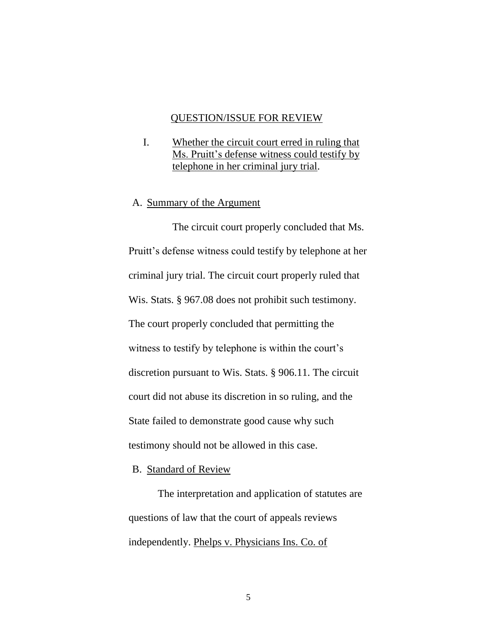#### QUESTION/ISSUE FOR REVIEW

I. Whether the circuit court erred in ruling that Ms. Pruitt's defense witness could testify by telephone in her criminal jury trial.

#### A. Summary of the Argument

The circuit court properly concluded that Ms. Pruitt's defense witness could testify by telephone at her criminal jury trial. The circuit court properly ruled that Wis. Stats. § 967.08 does not prohibit such testimony. The court properly concluded that permitting the witness to testify by telephone is within the court's discretion pursuant to Wis. Stats. § 906.11. The circuit court did not abuse its discretion in so ruling, and the State failed to demonstrate good cause why such testimony should not be allowed in this case.

#### B. Standard of Review

The interpretation and application of statutes are questions of law that the court of appeals reviews independently. Phelps v. Physicians Ins. Co. of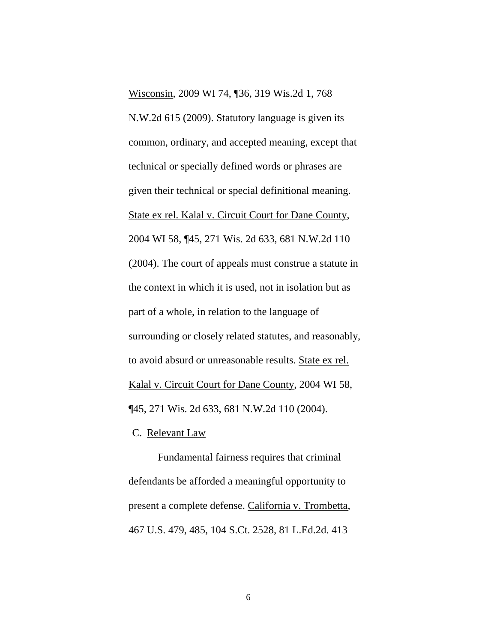Wisconsin, 2009 WI 74, ¶36, 319 Wis.2d 1, 768 N.W.2d 615 (2009). Statutory language is given its common, ordinary, and accepted meaning, except that technical or specially defined words or phrases are given their technical or special definitional meaning. State ex rel. Kalal v. Circuit Court for Dane County, 2004 WI 58, ¶45, 271 Wis. 2d 633, 681 N.W.2d 110 (2004). The court of appeals must construe a statute in the context in which it is used, not in isolation but as part of a whole, in relation to the language of surrounding or closely related statutes, and reasonably, to avoid absurd or unreasonable results. State ex rel. Kalal v. Circuit Court for Dane County, 2004 WI 58, ¶45, 271 Wis. 2d 633, 681 N.W.2d 110 (2004).

C. Relevant Law

Fundamental fairness requires that criminal defendants be afforded a meaningful opportunity to present a complete defense. California v. Trombetta, 467 U.S. 479, 485, 104 S.Ct. 2528, 81 L.Ed.2d. 413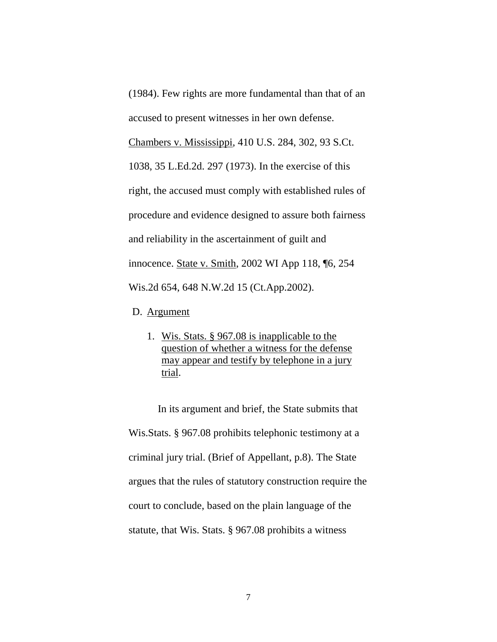(1984). Few rights are more fundamental than that of an accused to present witnesses in her own defense.

Chambers v. Mississippi, 410 U.S. 284, 302, 93 S.Ct.

1038, 35 L.Ed.2d. 297 (1973). In the exercise of this right, the accused must comply with established rules of procedure and evidence designed to assure both fairness and reliability in the ascertainment of guilt and innocence. State v. Smith, 2002 WI App 118, ¶6, 254 Wis.2d 654, 648 N.W.2d 15 (Ct.App.2002).

- D. Argument
	- 1. Wis. Stats. § 967.08 is inapplicable to the question of whether a witness for the defense may appear and testify by telephone in a jury trial.

In its argument and brief, the State submits that Wis.Stats. § 967.08 prohibits telephonic testimony at a criminal jury trial. (Brief of Appellant, p.8). The State argues that the rules of statutory construction require the court to conclude, based on the plain language of the statute, that Wis. Stats. § 967.08 prohibits a witness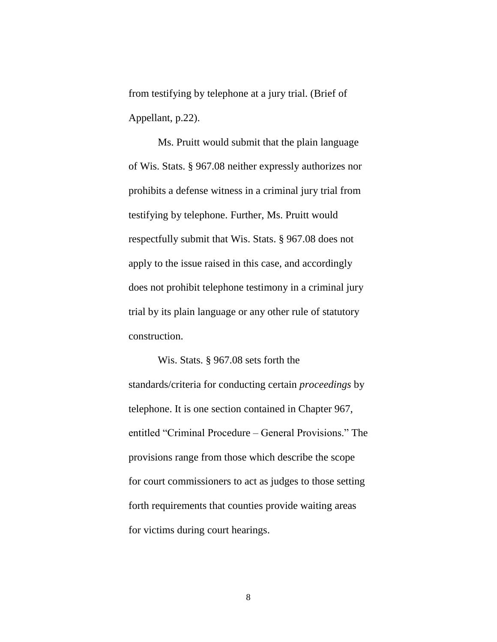from testifying by telephone at a jury trial. (Brief of Appellant, p.22).

Ms. Pruitt would submit that the plain language of Wis. Stats. § 967.08 neither expressly authorizes nor prohibits a defense witness in a criminal jury trial from testifying by telephone. Further, Ms. Pruitt would respectfully submit that Wis. Stats. § 967.08 does not apply to the issue raised in this case, and accordingly does not prohibit telephone testimony in a criminal jury trial by its plain language or any other rule of statutory construction.

Wis. Stats. § 967.08 sets forth the standards/criteria for conducting certain *proceedings* by telephone. It is one section contained in Chapter 967, entitled "Criminal Procedure – General Provisions." The provisions range from those which describe the scope for court commissioners to act as judges to those setting forth requirements that counties provide waiting areas for victims during court hearings.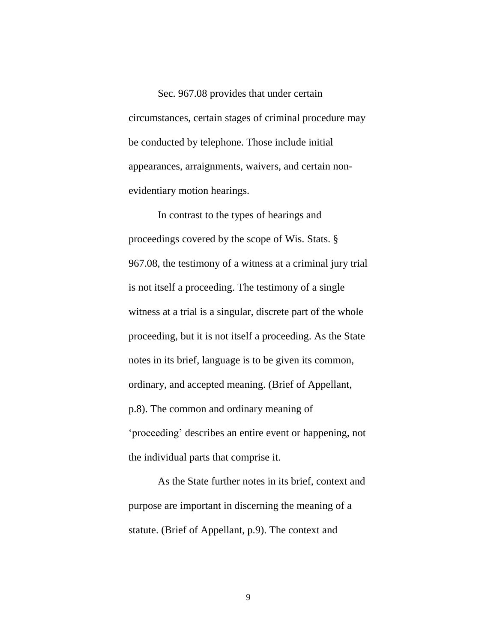Sec. 967.08 provides that under certain circumstances, certain stages of criminal procedure may be conducted by telephone. Those include initial appearances, arraignments, waivers, and certain nonevidentiary motion hearings.

In contrast to the types of hearings and proceedings covered by the scope of Wis. Stats. § 967.08, the testimony of a witness at a criminal jury trial is not itself a proceeding. The testimony of a single witness at a trial is a singular, discrete part of the whole proceeding, but it is not itself a proceeding. As the State notes in its brief, language is to be given its common, ordinary, and accepted meaning. (Brief of Appellant, p.8). The common and ordinary meaning of 'proceeding' describes an entire event or happening, not the individual parts that comprise it.

As the State further notes in its brief, context and purpose are important in discerning the meaning of a statute. (Brief of Appellant, p.9). The context and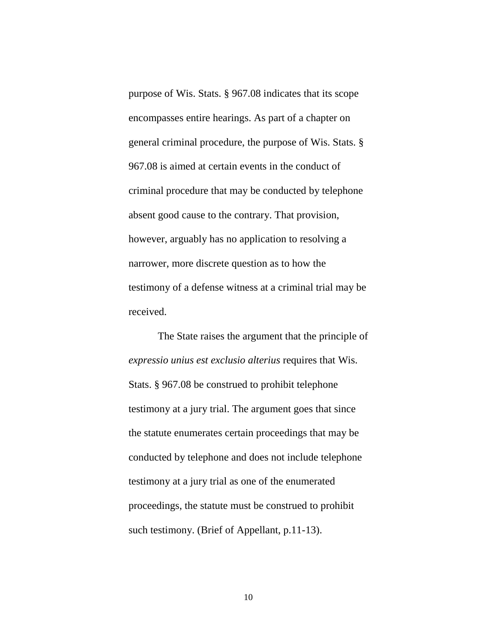purpose of Wis. Stats. § 967.08 indicates that its scope encompasses entire hearings. As part of a chapter on general criminal procedure, the purpose of Wis. Stats. § 967.08 is aimed at certain events in the conduct of criminal procedure that may be conducted by telephone absent good cause to the contrary. That provision, however, arguably has no application to resolving a narrower, more discrete question as to how the testimony of a defense witness at a criminal trial may be received.

The State raises the argument that the principle of *expressio unius est exclusio alterius* requires that Wis. Stats. § 967.08 be construed to prohibit telephone testimony at a jury trial. The argument goes that since the statute enumerates certain proceedings that may be conducted by telephone and does not include telephone testimony at a jury trial as one of the enumerated proceedings, the statute must be construed to prohibit such testimony. (Brief of Appellant, p.11-13).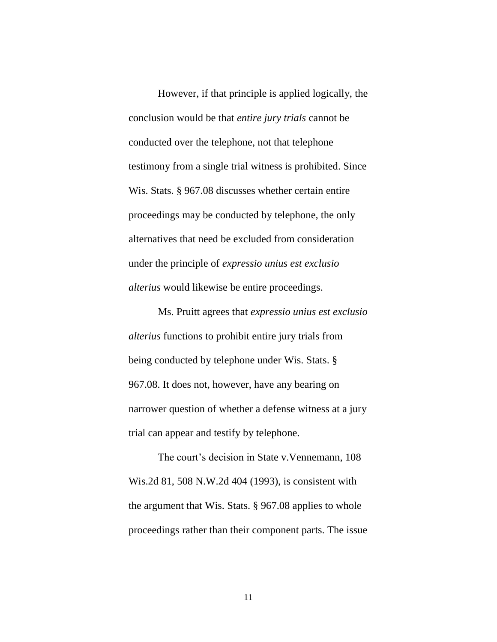However, if that principle is applied logically, the conclusion would be that *entire jury trials* cannot be conducted over the telephone, not that telephone testimony from a single trial witness is prohibited. Since Wis. Stats. § 967.08 discusses whether certain entire proceedings may be conducted by telephone, the only alternatives that need be excluded from consideration under the principle of *expressio unius est exclusio alterius* would likewise be entire proceedings.

Ms. Pruitt agrees that *expressio unius est exclusio alterius* functions to prohibit entire jury trials from being conducted by telephone under Wis. Stats. § 967.08. It does not, however, have any bearing on narrower question of whether a defense witness at a jury trial can appear and testify by telephone.

The court's decision in State v.Vennemann, 108 Wis.2d 81, 508 N.W.2d 404 (1993), is consistent with the argument that Wis. Stats. § 967.08 applies to whole proceedings rather than their component parts. The issue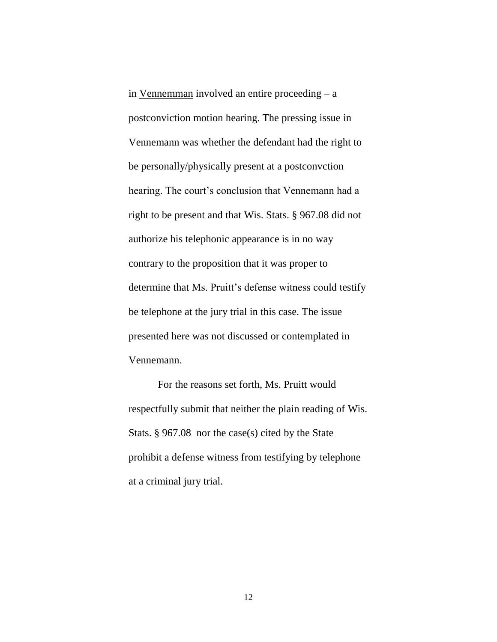in Vennemman involved an entire proceeding – a postconviction motion hearing. The pressing issue in Vennemann was whether the defendant had the right to be personally/physically present at a postconvction hearing. The court's conclusion that Vennemann had a right to be present and that Wis. Stats. § 967.08 did not authorize his telephonic appearance is in no way contrary to the proposition that it was proper to determine that Ms. Pruitt's defense witness could testify be telephone at the jury trial in this case. The issue presented here was not discussed or contemplated in Vennemann.

For the reasons set forth, Ms. Pruitt would respectfully submit that neither the plain reading of Wis. Stats. § 967.08 nor the case(s) cited by the State prohibit a defense witness from testifying by telephone at a criminal jury trial.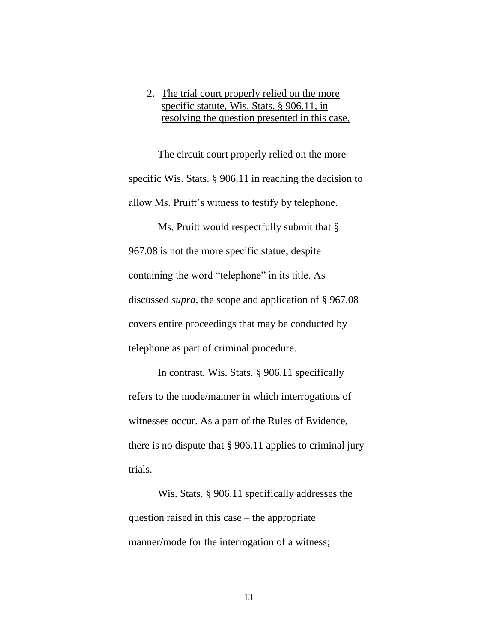## 2. The trial court properly relied on the more specific statute, Wis. Stats. § 906.11, in resolving the question presented in this case.

The circuit court properly relied on the more specific Wis. Stats. § 906.11 in reaching the decision to allow Ms. Pruitt's witness to testify by telephone.

Ms. Pruitt would respectfully submit that  $\S$ 967.08 is not the more specific statue, despite containing the word "telephone" in its title. As discussed *supra,* the scope and application of § 967.08 covers entire proceedings that may be conducted by telephone as part of criminal procedure.

In contrast, Wis. Stats. § 906.11 specifically refers to the mode/manner in which interrogations of witnesses occur. As a part of the Rules of Evidence, there is no dispute that § 906.11 applies to criminal jury trials.

Wis. Stats. § 906.11 specifically addresses the question raised in this case – the appropriate manner/mode for the interrogation of a witness;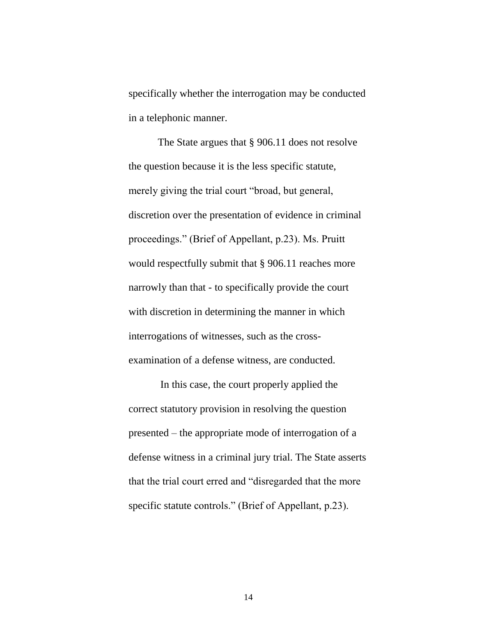specifically whether the interrogation may be conducted in a telephonic manner.

The State argues that § 906.11 does not resolve the question because it is the less specific statute, merely giving the trial court "broad, but general, discretion over the presentation of evidence in criminal proceedings." (Brief of Appellant, p.23). Ms. Pruitt would respectfully submit that § 906.11 reaches more narrowly than that - to specifically provide the court with discretion in determining the manner in which interrogations of witnesses, such as the crossexamination of a defense witness, are conducted.

In this case, the court properly applied the correct statutory provision in resolving the question presented – the appropriate mode of interrogation of a defense witness in a criminal jury trial. The State asserts that the trial court erred and "disregarded that the more specific statute controls." (Brief of Appellant, p.23).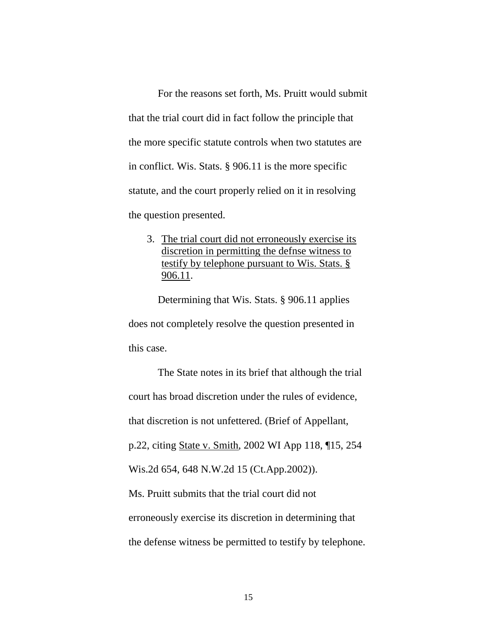For the reasons set forth, Ms. Pruitt would submit that the trial court did in fact follow the principle that the more specific statute controls when two statutes are in conflict. Wis. Stats. § 906.11 is the more specific statute, and the court properly relied on it in resolving the question presented.

3. The trial court did not erroneously exercise its discretion in permitting the defnse witness to testify by telephone pursuant to Wis. Stats. § 906.11.

Determining that Wis. Stats. § 906.11 applies does not completely resolve the question presented in this case.

The State notes in its brief that although the trial court has broad discretion under the rules of evidence, that discretion is not unfettered. (Brief of Appellant, p.22, citing State v. Smith, 2002 WI App 118, ¶15, 254 Wis.2d 654, 648 N.W.2d 15 (Ct.App.2002)). Ms. Pruitt submits that the trial court did not erroneously exercise its discretion in determining that the defense witness be permitted to testify by telephone.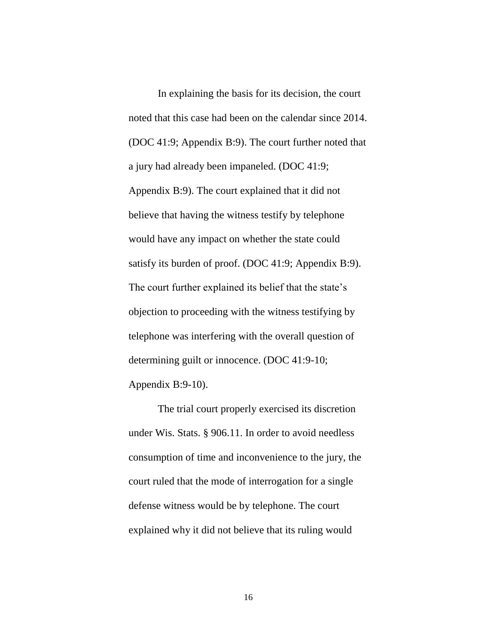In explaining the basis for its decision, the court noted that this case had been on the calendar since 2014. (DOC 41:9; Appendix B:9). The court further noted that a jury had already been impaneled. (DOC 41:9; Appendix B:9). The court explained that it did not believe that having the witness testify by telephone would have any impact on whether the state could satisfy its burden of proof. (DOC 41:9; Appendix B:9). The court further explained its belief that the state's objection to proceeding with the witness testifying by telephone was interfering with the overall question of determining guilt or innocence. (DOC 41:9-10; Appendix B:9-10).

The trial court properly exercised its discretion under Wis. Stats. § 906.11. In order to avoid needless consumption of time and inconvenience to the jury, the court ruled that the mode of interrogation for a single defense witness would be by telephone. The court explained why it did not believe that its ruling would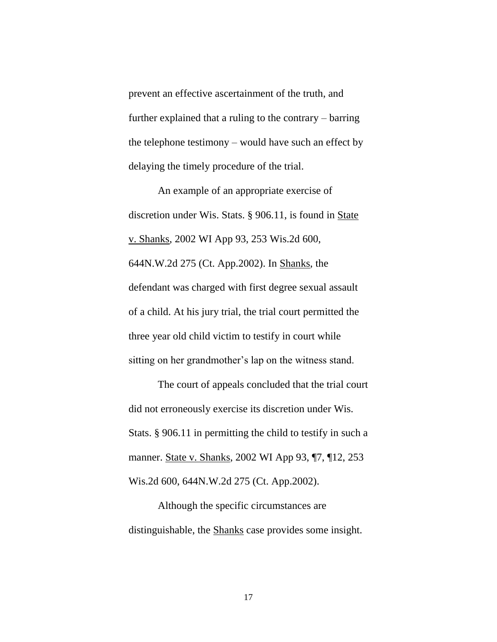prevent an effective ascertainment of the truth, and further explained that a ruling to the contrary – barring the telephone testimony – would have such an effect by delaying the timely procedure of the trial.

An example of an appropriate exercise of discretion under Wis. Stats. § 906.11, is found in State v. Shanks, 2002 WI App 93, 253 Wis.2d 600, 644N.W.2d 275 (Ct. App.2002). In Shanks, the defendant was charged with first degree sexual assault of a child. At his jury trial, the trial court permitted the three year old child victim to testify in court while sitting on her grandmother's lap on the witness stand.

The court of appeals concluded that the trial court did not erroneously exercise its discretion under Wis. Stats. § 906.11 in permitting the child to testify in such a manner. State v. Shanks, 2002 WI App 93, ¶7, ¶12, 253 Wis.2d 600, 644N.W.2d 275 (Ct. App.2002).

Although the specific circumstances are distinguishable, the Shanks case provides some insight.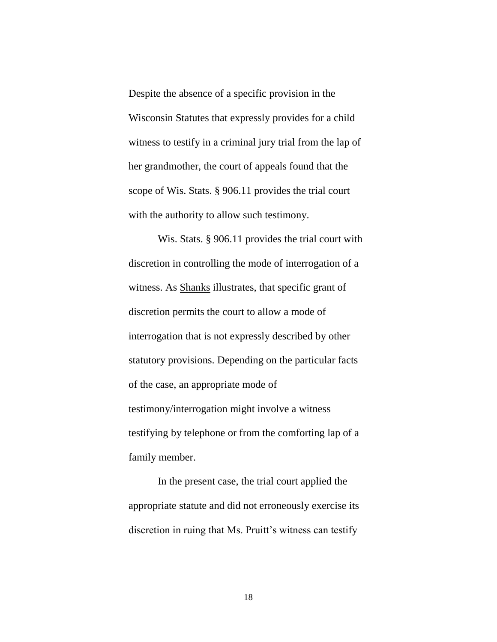Despite the absence of a specific provision in the Wisconsin Statutes that expressly provides for a child witness to testify in a criminal jury trial from the lap of her grandmother, the court of appeals found that the scope of Wis. Stats. § 906.11 provides the trial court with the authority to allow such testimony.

Wis. Stats. § 906.11 provides the trial court with discretion in controlling the mode of interrogation of a witness. As **Shanks** illustrates, that specific grant of discretion permits the court to allow a mode of interrogation that is not expressly described by other statutory provisions. Depending on the particular facts of the case, an appropriate mode of testimony/interrogation might involve a witness testifying by telephone or from the comforting lap of a family member.

In the present case, the trial court applied the appropriate statute and did not erroneously exercise its discretion in ruing that Ms. Pruitt's witness can testify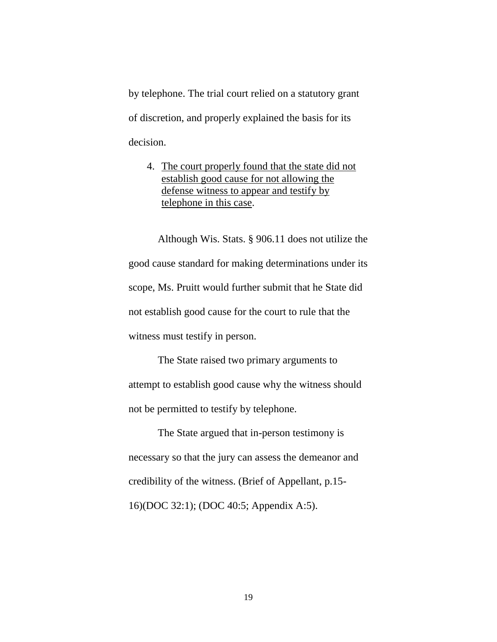by telephone. The trial court relied on a statutory grant of discretion, and properly explained the basis for its decision.

4. The court properly found that the state did not establish good cause for not allowing the defense witness to appear and testify by telephone in this case.

Although Wis. Stats. § 906.11 does not utilize the good cause standard for making determinations under its scope, Ms. Pruitt would further submit that he State did not establish good cause for the court to rule that the witness must testify in person.

The State raised two primary arguments to attempt to establish good cause why the witness should not be permitted to testify by telephone.

The State argued that in-person testimony is necessary so that the jury can assess the demeanor and credibility of the witness. (Brief of Appellant, p.15- 16)(DOC 32:1); (DOC 40:5; Appendix A:5).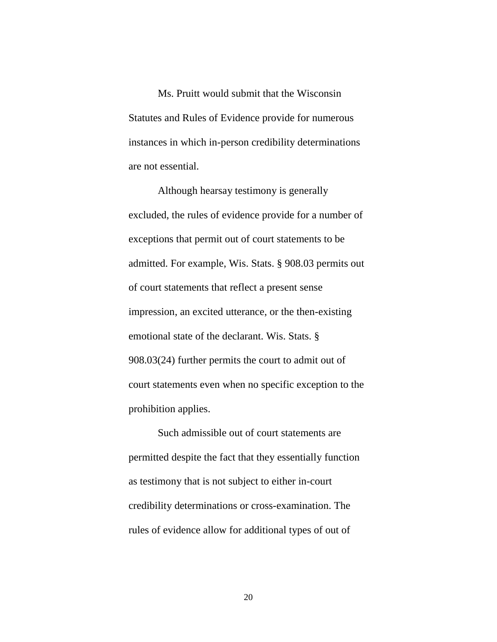Ms. Pruitt would submit that the Wisconsin Statutes and Rules of Evidence provide for numerous instances in which in-person credibility determinations are not essential.

Although hearsay testimony is generally excluded, the rules of evidence provide for a number of exceptions that permit out of court statements to be admitted. For example, Wis. Stats. § 908.03 permits out of court statements that reflect a present sense impression, an excited utterance, or the then-existing emotional state of the declarant. Wis. Stats. § 908.03(24) further permits the court to admit out of court statements even when no specific exception to the prohibition applies.

Such admissible out of court statements are permitted despite the fact that they essentially function as testimony that is not subject to either in-court credibility determinations or cross-examination. The rules of evidence allow for additional types of out of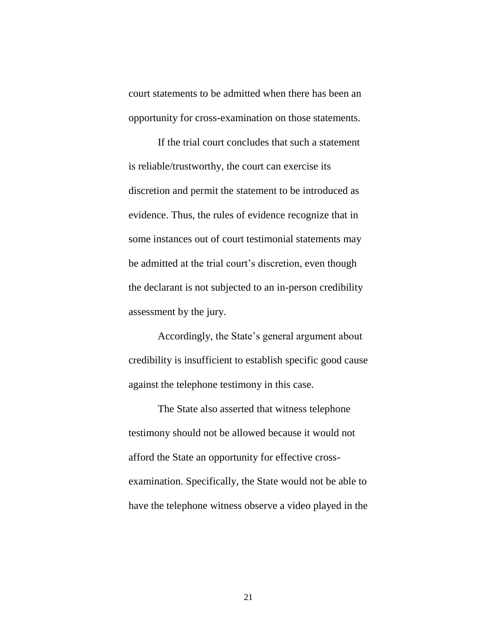court statements to be admitted when there has been an opportunity for cross-examination on those statements.

If the trial court concludes that such a statement is reliable/trustworthy, the court can exercise its discretion and permit the statement to be introduced as evidence. Thus, the rules of evidence recognize that in some instances out of court testimonial statements may be admitted at the trial court's discretion, even though the declarant is not subjected to an in-person credibility assessment by the jury.

Accordingly, the State's general argument about credibility is insufficient to establish specific good cause against the telephone testimony in this case.

The State also asserted that witness telephone testimony should not be allowed because it would not afford the State an opportunity for effective crossexamination. Specifically, the State would not be able to have the telephone witness observe a video played in the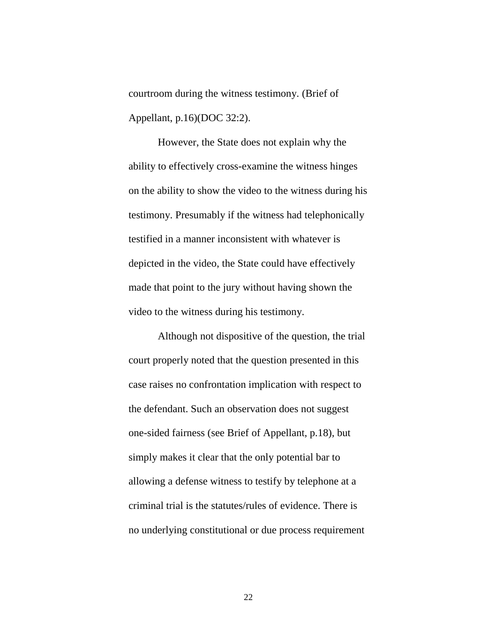courtroom during the witness testimony. (Brief of Appellant, p.16)(DOC 32:2).

However, the State does not explain why the ability to effectively cross-examine the witness hinges on the ability to show the video to the witness during his testimony. Presumably if the witness had telephonically testified in a manner inconsistent with whatever is depicted in the video, the State could have effectively made that point to the jury without having shown the video to the witness during his testimony.

Although not dispositive of the question, the trial court properly noted that the question presented in this case raises no confrontation implication with respect to the defendant. Such an observation does not suggest one-sided fairness (see Brief of Appellant, p.18), but simply makes it clear that the only potential bar to allowing a defense witness to testify by telephone at a criminal trial is the statutes/rules of evidence. There is no underlying constitutional or due process requirement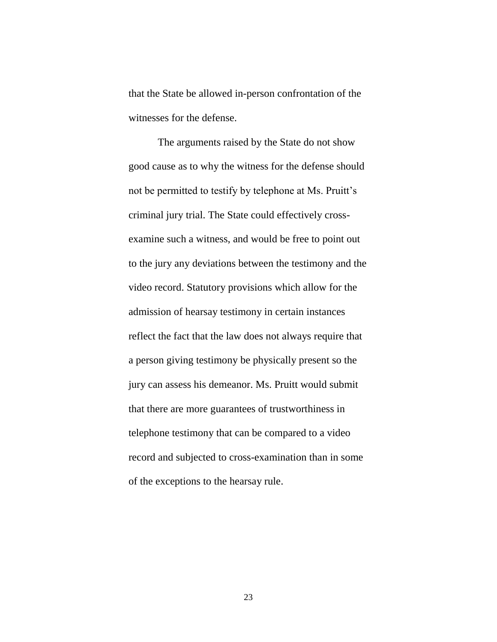that the State be allowed in-person confrontation of the witnesses for the defense.

The arguments raised by the State do not show good cause as to why the witness for the defense should not be permitted to testify by telephone at Ms. Pruitt's criminal jury trial. The State could effectively crossexamine such a witness, and would be free to point out to the jury any deviations between the testimony and the video record. Statutory provisions which allow for the admission of hearsay testimony in certain instances reflect the fact that the law does not always require that a person giving testimony be physically present so the jury can assess his demeanor. Ms. Pruitt would submit that there are more guarantees of trustworthiness in telephone testimony that can be compared to a video record and subjected to cross-examination than in some of the exceptions to the hearsay rule.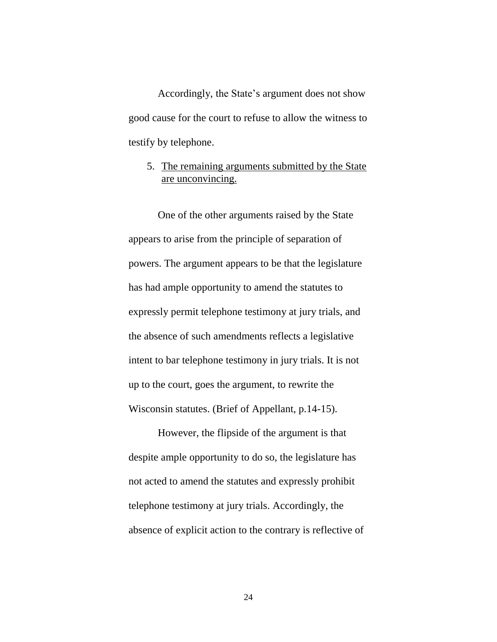Accordingly, the State's argument does not show good cause for the court to refuse to allow the witness to testify by telephone.

### 5. The remaining arguments submitted by the State are unconvincing.

One of the other arguments raised by the State appears to arise from the principle of separation of powers. The argument appears to be that the legislature has had ample opportunity to amend the statutes to expressly permit telephone testimony at jury trials, and the absence of such amendments reflects a legislative intent to bar telephone testimony in jury trials. It is not up to the court, goes the argument, to rewrite the Wisconsin statutes. (Brief of Appellant, p.14-15).

However, the flipside of the argument is that despite ample opportunity to do so, the legislature has not acted to amend the statutes and expressly prohibit telephone testimony at jury trials. Accordingly, the absence of explicit action to the contrary is reflective of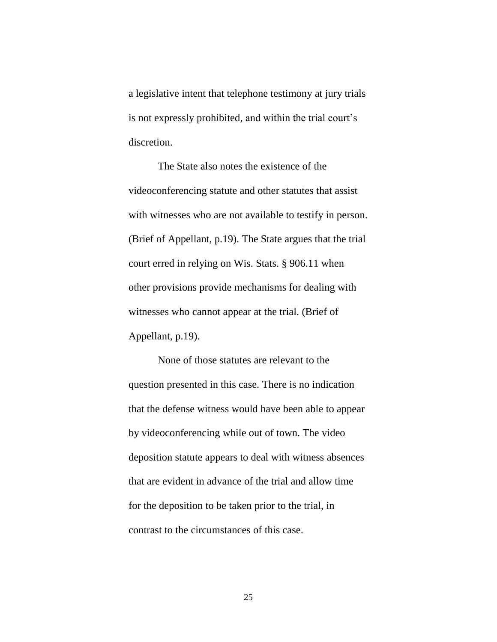a legislative intent that telephone testimony at jury trials is not expressly prohibited, and within the trial court's discretion.

The State also notes the existence of the videoconferencing statute and other statutes that assist with witnesses who are not available to testify in person. (Brief of Appellant, p.19). The State argues that the trial court erred in relying on Wis. Stats. § 906.11 when other provisions provide mechanisms for dealing with witnesses who cannot appear at the trial. (Brief of Appellant, p.19).

None of those statutes are relevant to the question presented in this case. There is no indication that the defense witness would have been able to appear by videoconferencing while out of town. The video deposition statute appears to deal with witness absences that are evident in advance of the trial and allow time for the deposition to be taken prior to the trial, in contrast to the circumstances of this case.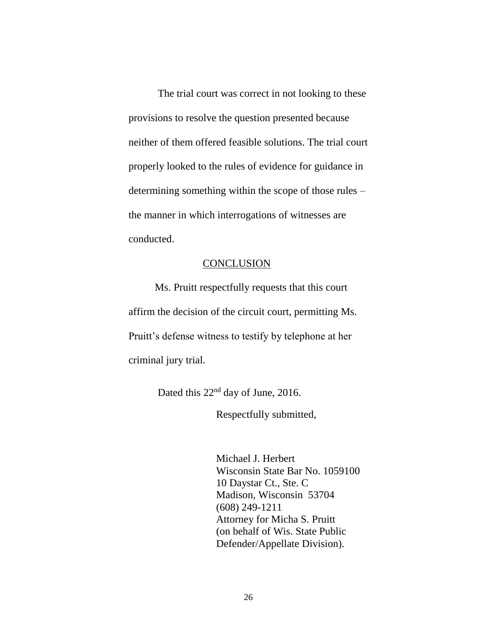The trial court was correct in not looking to these provisions to resolve the question presented because neither of them offered feasible solutions. The trial court properly looked to the rules of evidence for guidance in determining something within the scope of those rules – the manner in which interrogations of witnesses are conducted.

#### **CONCLUSION**

 Ms. Pruitt respectfully requests that this court affirm the decision of the circuit court, permitting Ms. Pruitt's defense witness to testify by telephone at her criminal jury trial.

Dated this 22<sup>nd</sup> day of June, 2016.

Respectfully submitted,

Michael J. Herbert Wisconsin State Bar No. 1059100 10 Daystar Ct., Ste. C Madison, Wisconsin 53704 (608) 249-1211 Attorney for Micha S. Pruitt (on behalf of Wis. State Public Defender/Appellate Division).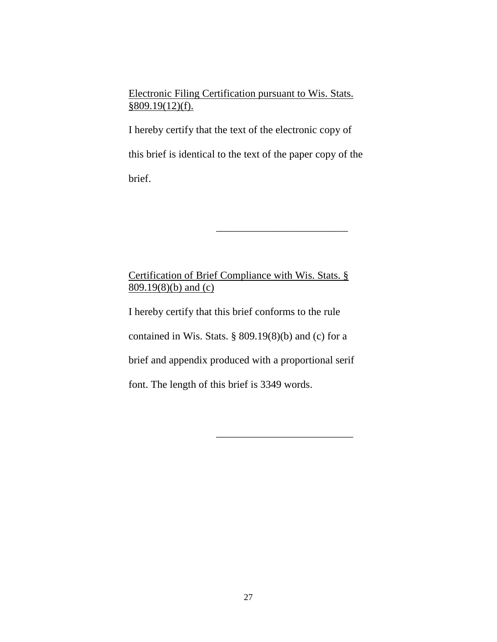Electronic Filing Certification pursuant to Wis. Stats. §809.19(12)(f).

I hereby certify that the text of the electronic copy of this brief is identical to the text of the paper copy of the brief.

\_\_\_\_\_\_\_\_\_\_\_\_\_\_\_\_\_\_\_\_\_\_\_\_\_

\_\_\_\_\_\_\_\_\_\_\_\_\_\_\_\_\_\_\_\_\_\_\_\_\_\_

## Certification of Brief Compliance with Wis. Stats. § 809.19(8)(b) and (c)

I hereby certify that this brief conforms to the rule contained in Wis. Stats. § 809.19(8)(b) and (c) for a brief and appendix produced with a proportional serif font. The length of this brief is 3349 words.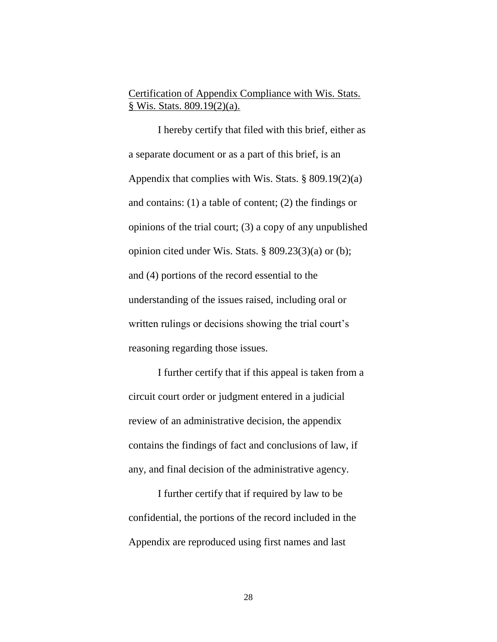## Certification of Appendix Compliance with Wis. Stats. § Wis. Stats. 809.19(2)(a).

I hereby certify that filed with this brief, either as a separate document or as a part of this brief, is an Appendix that complies with Wis. Stats. § 809.19(2)(a) and contains: (1) a table of content; (2) the findings or opinions of the trial court; (3) a copy of any unpublished opinion cited under Wis. Stats. § 809.23(3)(a) or (b); and (4) portions of the record essential to the understanding of the issues raised, including oral or written rulings or decisions showing the trial court's reasoning regarding those issues.

I further certify that if this appeal is taken from a circuit court order or judgment entered in a judicial review of an administrative decision, the appendix contains the findings of fact and conclusions of law, if any, and final decision of the administrative agency.

I further certify that if required by law to be confidential, the portions of the record included in the Appendix are reproduced using first names and last